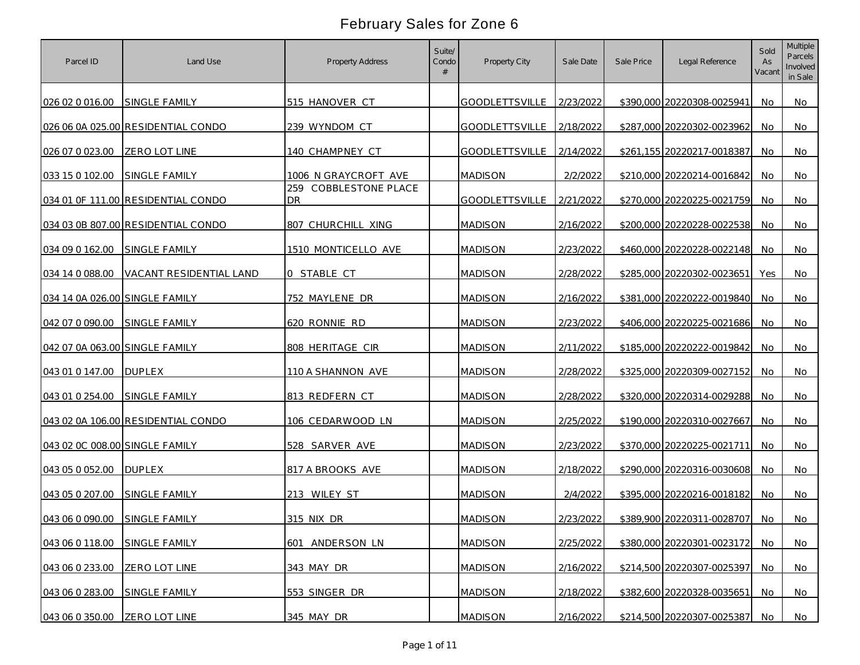| Parcel ID                      | Land Use                           | <b>Property Address</b>            | Suite/<br>Condo | Property City            | Sale Date | Sale Price | Legal Reference            | Sold<br>As<br>Vacant | <b>Multiple</b><br>Parcels<br>Involved<br>in Sale |
|--------------------------------|------------------------------------|------------------------------------|-----------------|--------------------------|-----------|------------|----------------------------|----------------------|---------------------------------------------------|
| 026 02 0 016.00                | <b>SINGLE FAMILY</b>               | 515 HANOVER CT                     |                 | GOODLETTSVILLE 2/23/2022 |           |            | \$390,000 20220308-0025941 | No                   | No                                                |
|                                | 026 06 0A 025.00 RESIDENTIAL CONDO | 239 WYNDOM CT                      |                 | GOODLETTSVILLE 2/18/2022 |           |            | \$287,000 20220302-0023962 | No                   | No                                                |
| 026 07 0 023 00                | <b>ZERO LOT LINE</b>               | 140 CHAMPNEY CT                    |                 | GOODLETTSVILLE 2/14/2022 |           |            | \$261,155 20220217-0018387 | No                   | No                                                |
| 033 15 0 102.00                | SINGLE FAMILY                      | 1006 N GRAYCROFT AVE               |                 | <b>MADISON</b>           | 2/2/2022  |            | \$210,000 20220214-0016842 | No                   | No                                                |
|                                | 034 01 OF 111.00 RESIDENTIAL CONDO | 259 COBBLESTONE PLACE<br><b>DR</b> |                 | <b>GOODLETTSVILLE</b>    | 2/21/2022 |            | \$270,000 20220225-0021759 | No                   | No                                                |
|                                | 034 03 0B 807.00 RESIDENTIAL CONDO | 807 CHURCHILL XING                 |                 | <b>MADISON</b>           | 2/16/2022 |            | \$200,000 20220228-0022538 | No.                  | No                                                |
| 034 09 0 162.00                | <b>SINGLE FAMILY</b>               | 1510 MONTICELLO AVE                |                 | <b>MADISON</b>           | 2/23/2022 |            | \$460,000 20220228-0022148 | No.                  | No                                                |
| 034 14 0 088.00                | VACANT RESIDENTIAL LAND            | 0 STABLE CT                        |                 | <b>MADISON</b>           | 2/28/2022 |            | \$285,000 20220302-0023651 | Yes                  | No                                                |
| 034 14 0A 026.00 SINGLE FAMILY |                                    | 752 MAYLENE DR                     |                 | <b>MADISON</b>           | 2/16/2022 |            | \$381,000 20220222-0019840 | No                   | No                                                |
| 042 07 0 090.00                | SINGLE FAMILY                      | 620 RONNIE RD                      |                 | <b>MADISON</b>           | 2/23/2022 |            | \$406,000 20220225-0021686 | No.                  | No                                                |
| 042 07 0A 063.00 SINGLE FAMILY |                                    | 808 HERITAGE CIR                   |                 | <b>MADISON</b>           | 2/11/2022 |            | \$185,000 20220222-0019842 | <b>No</b>            | No                                                |
| 043 01 0 147.00                | <b>DUPLEX</b>                      | 110 A SHANNON AVE                  |                 | <b>MADISON</b>           | 2/28/2022 |            | \$325,000 20220309-0027152 | No                   | No                                                |
| 043 01 0 254.00                | SINGLE FAMILY                      | 813 REDFERN CT                     |                 | <b>MADISON</b>           | 2/28/2022 |            | \$320,000 20220314-0029288 | <b>No</b>            | No                                                |
|                                | 043 02 0A 106.00 RESIDENTIAL CONDO | 106 CEDARWOOD LN                   |                 | <b>MADISON</b>           | 2/25/2022 |            | \$190,000 20220310-0027667 | No                   | No                                                |
| 043 02 0C 008.00 SINGLE FAMILY |                                    | 528 SARVER AVE                     |                 | <b>MADISON</b>           | 2/23/2022 |            | \$370,000 20220225-0021711 | No                   | No                                                |
| 043 05 0 052.00                | <b>DUPLEX</b>                      | 817 A BROOKS AVE                   |                 | <b>MADISON</b>           | 2/18/2022 |            | \$290,000 20220316-0030608 | No                   | No                                                |
| 043 05 0 207.00                | <b>SINGLE FAMILY</b>               | 213 WILEY ST                       |                 | <b>MADISON</b>           | 2/4/2022  |            | \$395,000 20220216-0018182 | No                   | No                                                |
| 043 06 0 090.00 SINGLE FAMILY  |                                    | 315 NIX DR                         |                 | <b>MADISON</b>           | 2/23/2022 |            | \$389,900 20220311-0028707 | No.                  | No                                                |
| 043 06 0 118.00                | SINGLE FAMILY                      | 601 ANDERSON LN                    |                 | <b>MADISON</b>           | 2/25/2022 |            | \$380,000 20220301-0023172 | <b>No</b>            | No                                                |
| 043 06 0 233.00                | ZERO LOT LINE                      | 343 MAY DR                         |                 | <b>MADISON</b>           | 2/16/2022 |            | \$214,500 20220307-0025397 | No                   | No                                                |
| 043 06 0 283.00                | SINGLE FAMILY                      | 553 SINGER DR                      |                 | <b>MADISON</b>           | 2/18/2022 |            | \$382,600 20220328-0035651 | No.                  | No                                                |
| 043 06 0 350.00                | ZERO LOT LINE                      | 345 MAY DR                         |                 | <b>MADISON</b>           | 2/16/2022 |            | \$214,500 20220307-0025387 | No.                  | No                                                |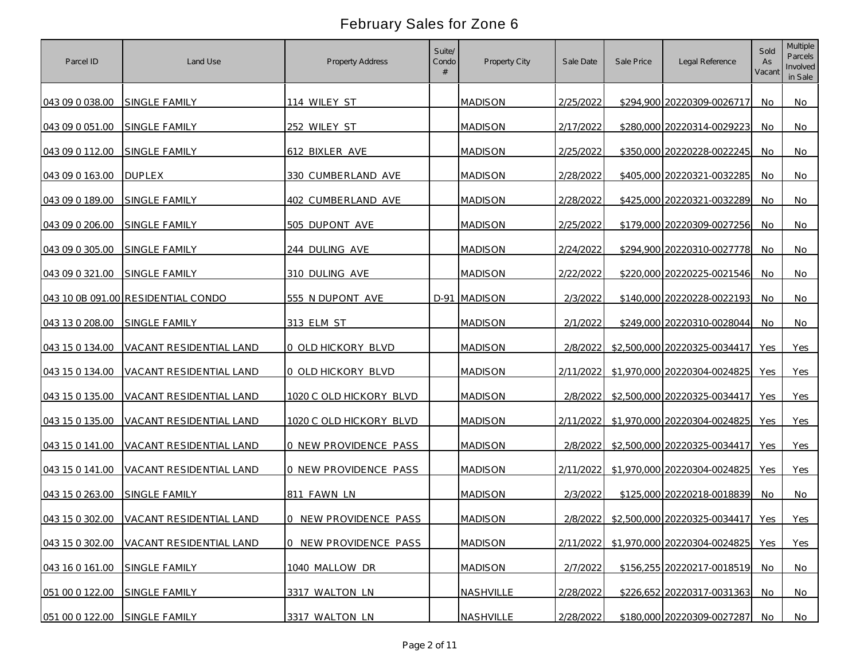| Parcel ID       | Land Use                           | Property Address             | Suite/<br>Condo | Property City  | Sale Date | Sale Price | Legal Reference              | Sold<br>As<br>Vacant | <b>Multiple</b><br>Parcels<br>Involved<br>in Sale |
|-----------------|------------------------------------|------------------------------|-----------------|----------------|-----------|------------|------------------------------|----------------------|---------------------------------------------------|
| 043 09 0 038.00 | SINGLE FAMILY                      | 114 WILEY ST                 |                 | <b>MADISON</b> | 2/25/2022 |            | \$294,900 20220309-0026717   | No.                  | No                                                |
| 043 09 0 051.00 | SINGLE FAMILY                      | 252 WILEY ST                 |                 | <b>MADISON</b> | 2/17/2022 |            | \$280,000 20220314-0029223   | No.                  | No                                                |
| 043 09 0 112.00 | SINGLE FAMILY                      | 612 BIXLER AVE               |                 | <b>MADISON</b> | 2/25/2022 |            | \$350,000 20220228-0022245   | No                   | No                                                |
| 043 09 0 163.00 | <b>DUPLEX</b>                      | 330 CUMBERLAND AVE           |                 | <b>MADISON</b> | 2/28/2022 |            | \$405,000 20220321-0032285   | No                   | No                                                |
| 043 09 0 189.00 | <b>SINGLE FAMILY</b>               | 402 CUMBERLAND AVE           |                 | <b>MADISON</b> | 2/28/2022 |            | \$425,000 20220321-0032289   | No                   | No                                                |
| 043 09 0 206.00 | SINGLE FAMILY                      | 505 DUPONT AVE               |                 | <b>MADISON</b> | 2/25/2022 |            | \$179,000 20220309-0027256   | No                   | No                                                |
| 043 09 0 305.00 | <b>SINGLE FAMILY</b>               | 244 DULING AVE               |                 | <b>MADISON</b> | 2/24/2022 |            | \$294,900 20220310-0027778   | No                   | No                                                |
| 043 09 0 321.00 | SINGLE FAMILY                      | 310 DULING AVE               |                 | <b>MADISON</b> | 2/22/2022 |            | \$220,000 20220225-0021546   | No                   | No                                                |
|                 | 043 10 0B 091.00 RESIDENTIAL CONDO | 555 N DUPONT AVE             |                 | D-91 MADISON   | 2/3/2022  |            | \$140,000 20220228-0022193   | No                   | No                                                |
| 043 13 0 208.00 | SINGLE FAMILY                      | 313 ELM ST                   |                 | <b>MADISON</b> | 2/1/2022  |            | \$249,000 20220310-0028044   | No.                  | No                                                |
| 043 15 0 134.00 | VACANT RESIDENTIAL LAND            | 0 OLD HICKORY BLVD           |                 | <b>MADISON</b> | 2/8/2022  |            | \$2,500,000 20220325-0034417 | Yes                  | Yes                                               |
| 043 15 0 134.00 | VACANT RESIDENTIAL LAND            | 0 OLD HICKORY BLVD           |                 | <b>MADISON</b> | 2/11/2022 |            | \$1,970,000 20220304-0024825 | Yes                  | Yes                                               |
| 043 15 0 135.00 | VACANT RESIDENTIAL LAND            | 1020 C OLD HICKORY BLVD      |                 | <b>MADISON</b> | 2/8/2022  |            | \$2,500,000 20220325-0034417 | Yes                  | Yes                                               |
| 043 15 0 135.00 | VACANT RESIDENTIAL LAND            | 1020 C OLD HICKORY BLVD      |                 | <b>MADISON</b> | 2/11/2022 |            | \$1,970,000 20220304-0024825 | Yes                  | Yes                                               |
| 043 15 0 141.00 | VACANT RESIDENTIAL LAND            | 0 NEW PROVIDENCE PASS        |                 | <b>MADISON</b> | 2/8/2022  |            | \$2,500,000 20220325-0034417 | Yes                  | Yes                                               |
| 043 15 0 141.00 | <b>VACANT RESIDENTIAL LAND</b>     | <b>0 NEW PROVIDENCE PASS</b> |                 | <b>MADISON</b> | 2/11/2022 |            | \$1,970,000 20220304-0024825 | Yes                  | Yes                                               |
| 043 15 0 263.00 | SINGLE FAMILY                      | 811 FAWN LN                  |                 | <b>MADISON</b> | 2/3/2022  |            | \$125,000 20220218-0018839   | No                   | No                                                |
| 043 15 0 302.00 | VACANT RESIDENTIAL LAND            | 0 NEW PROVIDENCE PASS        |                 | <b>MADISON</b> | 2/8/2022  |            | \$2,500,000 20220325-0034417 | Yes                  | Yes                                               |
| 043 15 0 302.00 | VACANT RESIDENTIAL LAND            | 0 NEW PROVIDENCE PASS        |                 | <b>MADISON</b> | 2/11/2022 |            | \$1,970,000 20220304-0024825 | Yes                  | Yes                                               |
| 043 16 0 161.00 | SINGLE FAMILY                      | 1040 MALLOW DR               |                 | <b>MADISON</b> | 2/7/2022  |            | \$156,255 20220217-0018519   | No                   | <b>No</b>                                         |
| 051 00 0 122.00 | SINGLE FAMILY                      | 3317 WALTON LN               |                 | NASHVILLE      | 2/28/2022 |            | \$226,652 20220317-0031363   | No.                  | No                                                |
| 051 00 0 122.00 | SINGLE FAMILY                      | 3317 WALTON LN               |                 | NASHVILLE      | 2/28/2022 |            | \$180,000 20220309-0027287   | No.                  | No                                                |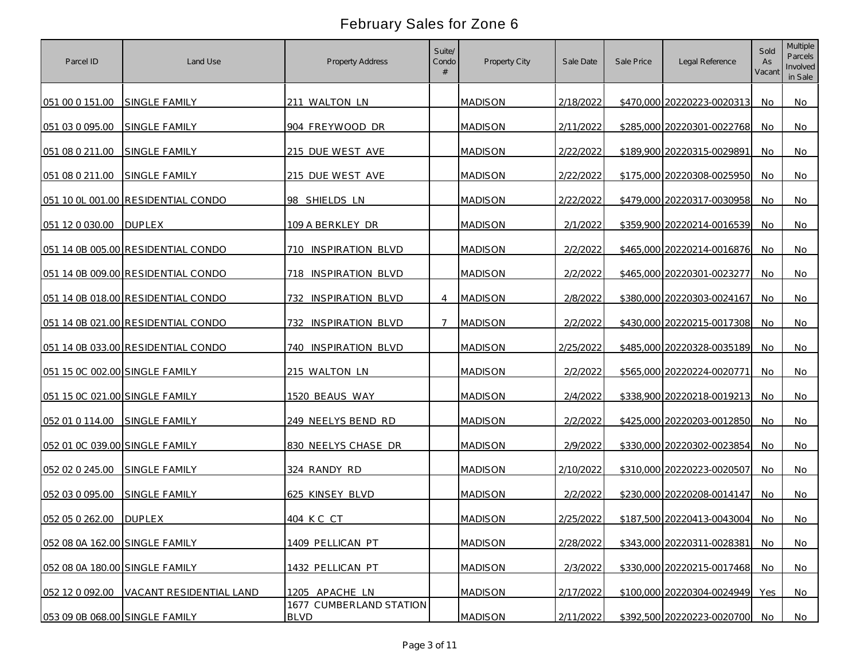| Parcel ID                      | Land Use                           | Property Address                       | Suite/<br>Condo | Property City  | Sale Date | Sale Price | Legal Reference            | Sold<br>As<br>Vacant | <b>Multiple</b><br>Parcels<br>Involved<br>in Sale |
|--------------------------------|------------------------------------|----------------------------------------|-----------------|----------------|-----------|------------|----------------------------|----------------------|---------------------------------------------------|
| 051 00 0 151.00                | <b>SINGLE FAMILY</b>               | 211 WALTON LN                          |                 | <b>MADISON</b> | 2/18/2022 |            | \$470,000 20220223-0020313 | No                   | No                                                |
| 051 03 0 095.00                | SINGLE FAMILY                      | 904 FREYWOOD DR                        |                 | <b>MADISON</b> | 2/11/2022 |            | \$285,000 20220301-0022768 | No                   | No                                                |
| 051 08 0 211.00                | SINGLE FAMILY                      | 215 DUE WEST AVE                       |                 | <b>MADISON</b> | 2/22/2022 |            | \$189,900 20220315-0029891 | No                   | No                                                |
| 051 08 0 211.00                | SINGLE FAMILY                      | 215 DUE WEST AVE                       |                 | <b>MADISON</b> | 2/22/2022 |            | \$175,000 20220308-0025950 | No                   | No                                                |
|                                | 051 10 OL 001.00 RESIDENTIAL CONDO | 98 SHIELDS LN                          |                 | <b>MADISON</b> | 2/22/2022 |            | \$479,000 20220317-0030958 | No                   | No                                                |
| 051 12 0 030.00                | <b>DUPLEX</b>                      | 109 A BERKLEY DR                       |                 | <b>MADISON</b> | 2/1/2022  |            | \$359,900 20220214-0016539 | No.                  | No                                                |
|                                | 051 14 0B 005.00 RESIDENTIAL CONDO | 710 INSPIRATION BLVD                   |                 | <b>MADISON</b> | 2/2/2022  |            | \$465,000 20220214-0016876 | No.                  | No                                                |
|                                | 051 14 0B 009.00 RESIDENTIAL CONDO | 718 INSPIRATION BLVD                   |                 | <b>MADISON</b> | 2/2/2022  |            | \$465,000 20220301-0023277 | No                   | No                                                |
|                                | 051 14 0B 018.00 RESIDENTIAL CONDO | 732<br><b>INSPIRATION BLVD</b>         | $\overline{4}$  | <b>MADISON</b> | 2/8/2022  |            | \$380,000 20220303-0024167 | No                   | No                                                |
|                                | 051 14 0B 021.00 RESIDENTIAL CONDO | 732 INSPIRATION BLVD                   | 7               | <b>MADISON</b> | 2/2/2022  |            | \$430,000 20220215-0017308 | No.                  | No                                                |
|                                | 051 14 0B 033.00 RESIDENTIAL CONDO | <b>INSPIRATION BLVD</b><br>740         |                 | <b>MADISON</b> | 2/25/2022 |            | \$485,000 20220328-0035189 | No                   | No                                                |
| 051 15 0C 002.00 SINGLE FAMILY |                                    | 215 WALTON LN                          |                 | <b>MADISON</b> | 2/2/2022  |            | \$565,000 20220224-0020771 | No                   | No                                                |
| 051 15 OC 021.00 SINGLE FAMILY |                                    | 1520 BEAUS WAY                         |                 | <b>MADISON</b> | 2/4/2022  |            | \$338,900 20220218-0019213 | No                   | No                                                |
| 052 01 0 114.00                | SINGLE FAMILY                      | 249 NEELYS BEND RD                     |                 | <b>MADISON</b> | 2/2/2022  |            | \$425,000 20220203-0012850 | No                   | No                                                |
| 052 01 0C 039.00 SINGLE FAMILY |                                    | 830 NEELYS CHASE DR                    |                 | <b>MADISON</b> | 2/9/2022  |            | \$330,000 20220302-0023854 | No                   | No                                                |
| 052 02 0 245.00                | <b>SINGLE FAMILY</b>               | 324 RANDY RD                           |                 | <b>MADISON</b> | 2/10/2022 |            | \$310,000 20220223-0020507 | No                   | No                                                |
| 052 03 0 095.00                | SINGLE FAMILY                      | 625 KINSEY BLVD                        |                 | <b>MADISON</b> | 2/2/2022  |            | \$230,000 20220208-0014147 | No                   | No                                                |
| 052 05 0 262.00                | <b>DUPLEX</b>                      | 404 K C CT                             |                 | <b>MADISON</b> | 2/25/2022 |            | \$187,500 20220413-0043004 | No.                  | No                                                |
| 052 08 0A 162.00 SINGLE FAMILY |                                    | 1409 PELLICAN PT                       |                 | <b>MADISON</b> | 2/28/2022 |            | \$343,000 20220311-0028381 | No.                  | No                                                |
| 052 08 0A 180.00 SINGLE FAMILY |                                    | 1432 PELLICAN PT                       |                 | <b>MADISON</b> | 2/3/2022  |            | \$330,000 20220215-0017468 | No                   | <b>No</b>                                         |
| 052 12 0 092.00                | VACANT RESIDENTIAL LAND            | 1205 APACHE LN                         |                 | <b>MADISON</b> | 2/17/2022 |            | \$100,000 20220304-0024949 | Yes                  | No                                                |
| 053 09 0B 068.00 SINGLE FAMILY |                                    | 1677 CUMBERLAND STATION<br><b>BLVD</b> |                 | <b>MADISON</b> | 2/11/2022 |            | \$392,500 20220223-0020700 | No.                  | No                                                |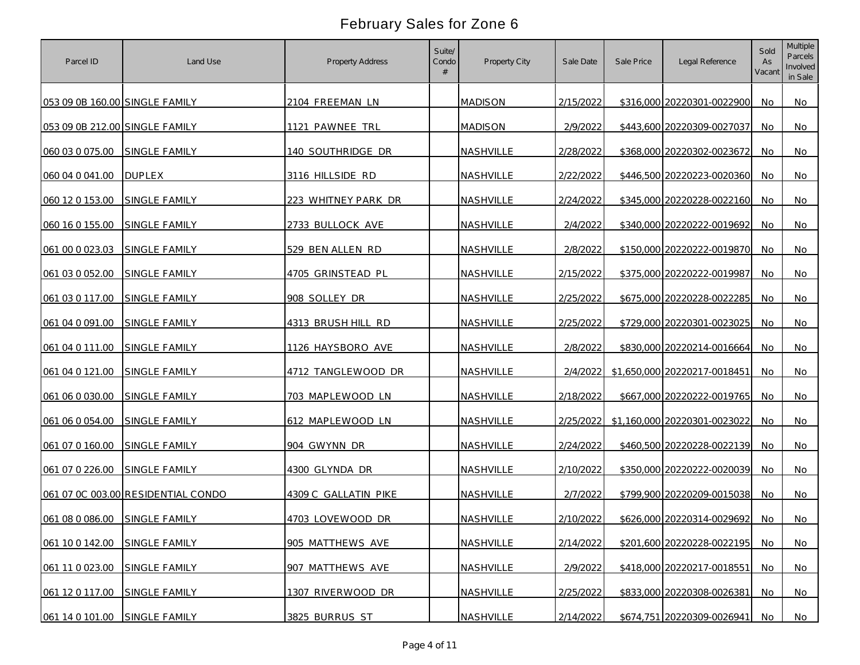| Parcel ID                      | Land Use                           | <b>Property Address</b> | Suite/<br>Condo | Property City    | Sale Date | Sale Price | Legal Reference              | Sold<br>As<br>Vacant | <b>Multiple</b><br>Parcels<br>Involved<br>in Sale |
|--------------------------------|------------------------------------|-------------------------|-----------------|------------------|-----------|------------|------------------------------|----------------------|---------------------------------------------------|
| 053 09 0B 160.00 SINGLE FAMILY |                                    | 2104 FREEMAN LN         |                 | <b>MADISON</b>   | 2/15/2022 |            | \$316,000 20220301-0022900   | No.                  | No                                                |
| 053 09 0B 212.00 SINGLE FAMILY |                                    | 1121 PAWNEE TRL         |                 | <b>MADISON</b>   | 2/9/2022  |            | \$443,600 20220309-0027037   | No.                  | No                                                |
| 060 03 0 075.00                | SINGLE FAMILY                      | 140 SOUTHRIDGE DR       |                 | NASHVILLE        | 2/28/2022 |            | \$368,000 20220302-0023672   | No                   | No                                                |
| 060 04 0 041.00                | <b>DUPLEX</b>                      | 3116 HILLSIDE RD        |                 | NASHVILLE        | 2/22/2022 |            | \$446,500 20220223-0020360   | No                   | No                                                |
| 060 12 0 153.00                | <b>SINGLE FAMILY</b>               | 223 WHITNEY PARK DR     |                 | NASHVILLE        | 2/24/2022 |            | \$345,000 20220228-0022160   | No                   | No                                                |
| 060 16 0 155.00                | <b>SINGLE FAMILY</b>               | 2733 BULLOCK AVE        |                 | NASHVILLE        | 2/4/2022  |            | \$340,000 20220222-0019692   | No                   | No                                                |
| 061 00 0 023.03                | <b>SINGLE FAMILY</b>               | 529 BEN ALLEN RD        |                 | NASHVILLE        | 2/8/2022  |            | \$150,000 20220222-0019870   | No                   | No                                                |
| 061 03 0 052.00                | SINGLE FAMILY                      | 4705 GRINSTEAD PL       |                 | NASHVILLE        | 2/15/2022 |            | \$375,000 20220222-0019987   | No                   | No                                                |
| 061 03 0 117.00                | SINGLE FAMILY                      | 908 SOLLEY DR           |                 | NASHVILLE        | 2/25/2022 |            | \$675,000 20220228-0022285   | No                   | No                                                |
| 061 04 0 091 00                | SINGLE FAMILY                      | 4313 BRUSH HILL RD      |                 | NASHVILLE        | 2/25/2022 |            | \$729,000 20220301-0023025   | No.                  | No                                                |
| 061 04 0 111.00                | <b>SINGLE FAMILY</b>               | 1126 HAYSBORO AVE       |                 | NASHVILLE        | 2/8/2022  |            | \$830,000 20220214-0016664   | No                   | No                                                |
| 061 04 0 121.00                | <b>SINGLE FAMILY</b>               | 4712 TANGLEWOOD DR      |                 | <b>NASHVILLE</b> | 2/4/2022  |            | \$1,650,000 20220217-0018451 | No                   | No                                                |
| 061 06 0 030.00                | <b>SINGLE FAMILY</b>               | 703 MAPLEWOOD LN        |                 | NASHVILLE        | 2/18/2022 |            | \$667,000 20220222-0019765   | No                   | No                                                |
| 061 06 0 054.00                | SINGLE FAMILY                      | 612 MAPLEWOOD LN        |                 | NASHVILLE        | 2/25/2022 |            | \$1,160,000 20220301-0023022 | No                   | No                                                |
| 061 07 0 160.00                | SINGLE FAMILY                      | 904 GWYNN DR            |                 | NASHVILLE        | 2/24/2022 |            | \$460,500 20220228-0022139   | No                   | No                                                |
| 061 07 0 226.00                | <b>SINGLE FAMILY</b>               | 4300 GLYNDA DR          |                 | NASHVILLE        | 2/10/2022 |            | \$350,000 20220222-0020039   | No                   | No                                                |
|                                | 061 07 0C 003.00 RESIDENTIAL CONDO | 4309 C GALLATIN PIKE    |                 | NASHVILLE        | 2/7/2022  |            | \$799,900 20220209-0015038   | No                   | No                                                |
| 061 08 0 086.00                | SINGLE FAMILY                      | 4703 LOVEWOOD DR        |                 | NASHVILLE        | 2/10/2022 |            | \$626,000 20220314-0029692   | No                   | No                                                |
| 061 10 0 142.00                | SINGLE FAMILY                      | 905 MATTHEWS AVE        |                 | NASHVILLE        | 2/14/2022 |            | \$201,600 20220228-0022195   | No.                  | No                                                |
| 061 11 0 023 00                | SINGLE FAMILY                      | 907 MATTHEWS AVE        |                 | NASHVILLE        | 2/9/2022  |            | \$418,000 20220217-0018551   | No                   | No                                                |
| 061 12 0 117.00                | SINGLE FAMILY                      | 1307 RIVERWOOD DR       |                 | NASHVILLE        | 2/25/2022 |            | \$833,000 20220308-0026381   | No.                  | No                                                |
| 061 14 0 101.00                | SINGLE FAMILY                      | 3825 BURRUS ST          |                 | NASHVILLE        | 2/14/2022 |            | \$674,751 20220309-0026941   | No                   | No                                                |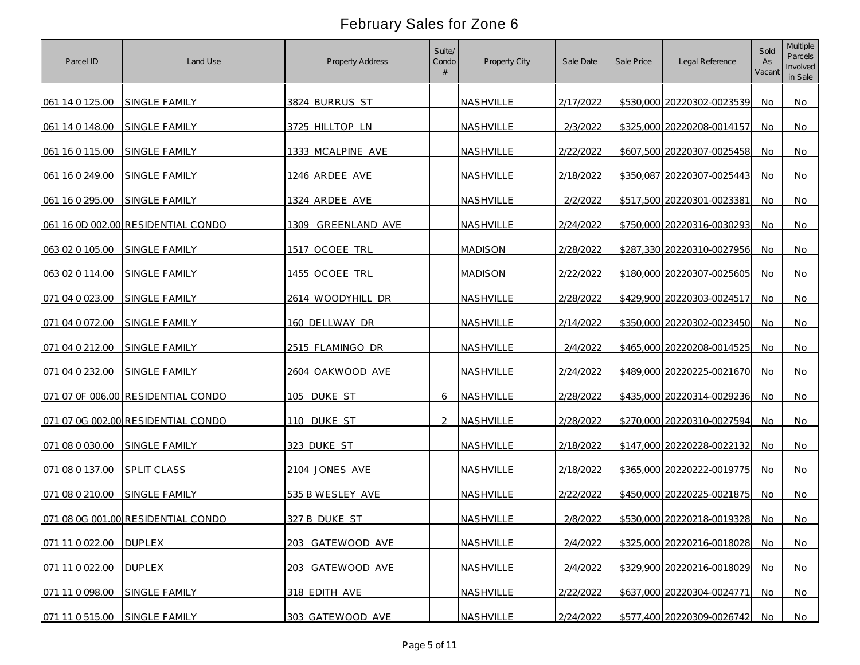| Parcel ID       | Land Use                           | Property Address              | Suite/<br>Condo | Property City  | Sale Date | Sale Price | Legal Reference            | Sold<br>As<br>Vacant | <b>Multiple</b><br>Parcels<br>Involved<br>in Sale |
|-----------------|------------------------------------|-------------------------------|-----------------|----------------|-----------|------------|----------------------------|----------------------|---------------------------------------------------|
| 061 14 0 125.00 | SINGLE FAMILY                      | 3824 BURRUS ST                |                 | NASHVILLE      | 2/17/2022 |            | \$530,000 20220302-0023539 | No.                  | No                                                |
| 061 14 0 148.00 | SINGLE FAMILY                      | 3725 HILLTOP LN               |                 | NASHVILLE      | 2/3/2022  |            | \$325,000 20220208-0014157 | No.                  | No                                                |
| 061 16 0 115.00 | SINGLE FAMILY                      | 1333 MCALPINE AVE             |                 | NASHVILLE      | 2/22/2022 |            | \$607,500 20220307-0025458 | No                   | No                                                |
| 061 16 0 249.00 | SINGLE FAMILY                      | 1246 ARDEE AVE                |                 | NASHVILLE      | 2/18/2022 |            | \$350,087 20220307-0025443 | No                   | No                                                |
| 061 16 0 295.00 | <b>SINGLE FAMILY</b>               | 1324 ARDEE AVE                |                 | NASHVILLE      | 2/2/2022  |            | \$517,500 20220301-0023381 | No                   | No                                                |
|                 | 061 16 0D 002.00 RESIDENTIAL CONDO | <b>GREENLAND AVE</b><br>1309. |                 | NASHVILLE      | 2/24/2022 |            | \$750,000 20220316-0030293 | No.                  | No                                                |
| 063 02 0 105.00 | <b>SINGLE FAMILY</b>               | 1517 OCOEE TRL                |                 | <b>MADISON</b> | 2/28/2022 |            | \$287,330 20220310-0027956 | No.                  | No                                                |
| 063 02 0 114.00 | SINGLE FAMILY                      | 1455 OCOEE TRL                |                 | <b>MADISON</b> | 2/22/2022 |            | \$180,000 20220307-0025605 | No.                  | No                                                |
| 071 04 0 023.00 | SINGLE FAMILY                      | 2614 WOODYHILL DR             |                 | NASHVILLE      | 2/28/2022 |            | \$429,900 20220303-0024517 | No                   | No                                                |
| 071 04 0 072.00 | SINGLE FAMILY                      | 160 DELLWAY DR                |                 | NASHVILLE      | 2/14/2022 |            | \$350,000 20220302-0023450 | No.                  | No                                                |
| 071 04 0 212.00 | SINGLE FAMILY                      | 2515 FLAMINGO DR              |                 | NASHVILLE      | 2/4/2022  |            | \$465,000 20220208-0014525 | No.                  | No                                                |
| 071 04 0 232.00 | SINGLE FAMILY                      | 2604 OAKWOOD AVE              |                 | NASHVILLE      | 2/24/2022 |            | \$489,000 20220225-0021670 | No                   | No                                                |
|                 | 071 07 0F 006.00 RESIDENTIAL CONDO | 105 DUKE ST                   | 6               | NASHVILLE      | 2/28/2022 |            | \$435,000 20220314-0029236 | No                   | No                                                |
|                 | 071 07 0G 002.00 RESIDENTIAL CONDO | 110 DUKE ST                   |                 | NASHVILLE      | 2/28/2022 |            | \$270,000 20220310-0027594 | No                   | No                                                |
| 071 08 0 030.00 | SINGLE FAMILY                      | 323 DUKE ST                   |                 | NASHVILLE      | 2/18/2022 |            | \$147,000 20220228-0022132 | No                   | No                                                |
| 071 08 0 137.00 | <b>SPLIT CLASS</b>                 | 2104 JONES AVE                |                 | NASHVILLE      | 2/18/2022 |            | \$365,000 20220222-0019775 | No                   | No                                                |
| 071 08 0 210.00 | SINGLE FAMILY                      | 535 B WESLEY AVE              |                 | NASHVILLE      | 2/22/2022 |            | \$450,000 20220225-0021875 | <b>No</b>            | No                                                |
|                 | 071 08 0G 001.00 RESIDENTIAL CONDO | 327 B DUKE ST                 |                 | NASHVILLE      | 2/8/2022  |            | \$530,000 20220218-0019328 | No                   | No                                                |
| 071 11 0 022.00 | <b>DUPLEX</b>                      | 203 GATEWOOD AVE              |                 | NASHVILLE      | 2/4/2022  |            | \$325,000 20220216-0018028 | No.                  | No                                                |
| 071 11 0 022.00 | <b>DUPLEX</b>                      | 203 GATEWOOD AVE              |                 | NASHVILLE      | 2/4/2022  |            | \$329,900 20220216-0018029 | No                   | <b>No</b>                                         |
| 071 11 0 098.00 | SINGLE FAMILY                      | 318 EDITH AVE                 |                 | NASHVILLE      | 2/22/2022 |            | \$637,000 20220304-0024771 | No.                  | No                                                |
| 071 11 0 515.00 | SINGLE FAMILY                      | 303 GATEWOOD AVE              |                 | NASHVILLE      | 2/24/2022 |            | \$577,400 20220309-0026742 | No.                  | No                                                |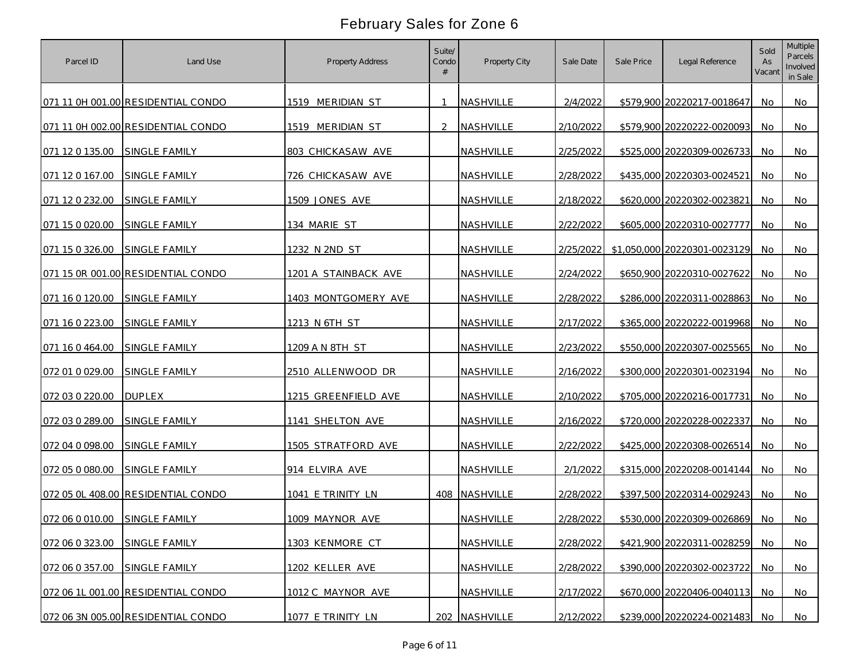| Parcel ID       | Land Use                           | Property Address     | Suite/<br>Condo | Property City | Sale Date | Sale Price | Legal Reference              | Sold<br>As<br>Vacant | <b>Multiple</b><br>Parcels<br>Involved<br>in Sale |
|-----------------|------------------------------------|----------------------|-----------------|---------------|-----------|------------|------------------------------|----------------------|---------------------------------------------------|
|                 | 071 11 0H 001.00 RESIDENTIAL CONDO | 1519 MERIDIAN ST     |                 | NASHVILLE     | 2/4/2022  |            | \$579,900 20220217-0018647   | No                   | No                                                |
|                 | 071 11 0H 002.00 RESIDENTIAL CONDO | 1519 MERIDIAN ST     | $\mathcal{L}$   | NASHVILLE     | 2/10/2022 |            | \$579,900 20220222-0020093   | No                   | No                                                |
| 071 12 0 135.00 | SINGLE FAMILY                      | 803 CHICKASAW AVE    |                 | NASHVILLE     | 2/25/2022 |            | \$525,000 20220309-0026733   | No                   | No                                                |
| 071 12 0 167.00 | SINGLE FAMILY                      | 726 CHICKASAW AVE    |                 | NASHVILLE     | 2/28/2022 |            | \$435,000 20220303-0024521   | No                   | No                                                |
| 071 12 0 232.00 | SINGLE FAMILY                      | 1509 JONES AVE       |                 | NASHVILLE     | 2/18/2022 |            | \$620,000 20220302-0023821   | No                   | No                                                |
| 071 15 0 020.00 | SINGLE FAMILY                      | 134 MARIE ST         |                 | NASHVILLE     | 2/22/2022 |            | \$605,000 20220310-0027777   | No.                  | No                                                |
| 071 15 0 326.00 | <b>SINGLE FAMILY</b>               | 1232 N 2ND ST        |                 | NASHVILLE     | 2/25/2022 |            | \$1,050,000 20220301-0023129 | No.                  | No                                                |
|                 | 071 15 OR 001.00 RESIDENTIAL CONDO | 1201 A STAINBACK AVE |                 | NASHVILLE     | 2/24/2022 |            | \$650,900 20220310-0027622   | No                   | No                                                |
| 071 16 0 120.00 | SINGLE FAMILY                      | 1403 MONTGOMERY AVE  |                 | NASHVILLE     | 2/28/2022 |            | \$286,000 20220311-0028863   | No                   | No                                                |
| 071 16 0 223.00 | SINGLE FAMILY                      | 1213 N 6TH ST        |                 | NASHVILLE     | 2/17/2022 |            | \$365,000 20220222-0019968   | No.                  | No                                                |
| 071 16 0 464.00 | <b>SINGLE FAMILY</b>               | 1209 A N 8TH ST      |                 | NASHVILLE     | 2/23/2022 |            | \$550,000 20220307-0025565   | No                   | No                                                |
| 072 01 0 029.00 | SINGLE FAMILY                      | 2510 ALLENWOOD DR    |                 | NASHVILLE     | 2/16/2022 |            | \$300,000 20220301-0023194   | No                   | No                                                |
| 072 03 0 220.00 | <b>DUPLEX</b>                      | 1215 GREENFIELD AVE  |                 | NASHVILLE     | 2/10/2022 |            | \$705,000 20220216-0017731   | No                   | No                                                |
| 072 03 0 289.00 | SINGLE FAMILY                      | 1141 SHELTON AVE     |                 | NASHVILLE     | 2/16/2022 |            | \$720,000 20220228-0022337   | No                   | No                                                |
| 072 04 0 098.00 | SINGLE FAMILY                      | 1505 STRATFORD AVE   |                 | NASHVILLE     | 2/22/2022 |            | \$425,000 20220308-0026514   | No                   | No                                                |
| 072 05 0 080.00 | SINGLE FAMILY                      | 914 ELVIRA AVE       |                 | NASHVILLE     | 2/1/2022  |            | \$315,000 20220208-0014144   | No                   | No                                                |
|                 | 072 05 OL 408.00 RESIDENTIAL CONDO | 1041 E TRINITY LN    |                 | 408 NASHVILLE | 2/28/2022 |            | \$397,500 20220314-0029243   | No                   | No                                                |
| 072 06 0 010 00 | SINGLE FAMILY                      | 1009 MAYNOR AVE      |                 | NASHVILLE     | 2/28/2022 |            | \$530,000 20220309-0026869   | No                   | No                                                |
| 072 06 0 323.00 | SINGLE FAMILY                      | 1303 KENMORE CT      |                 | NASHVILLE     | 2/28/2022 |            | \$421,900 20220311-0028259   | <b>No</b>            | No                                                |
| 072 06 0 357.00 | SINGLE FAMILY                      | 1202 KELLER AVE      |                 | NASHVILLE     | 2/28/2022 |            | \$390,000 20220302-0023722   | No                   | <b>No</b>                                         |
|                 | 072 06 1L 001.00 RESIDENTIAL CONDO | 1012 C MAYNOR AVE    |                 | NASHVILLE     | 2/17/2022 |            | \$670,000 20220406-0040113   | No.                  | No                                                |
|                 | 072 06 3N 005.00 RESIDENTIAL CONDO | 1077 E TRINITY LN    |                 | 202 NASHVILLE | 2/12/2022 |            | \$239,000 20220224-0021483   | No                   | No                                                |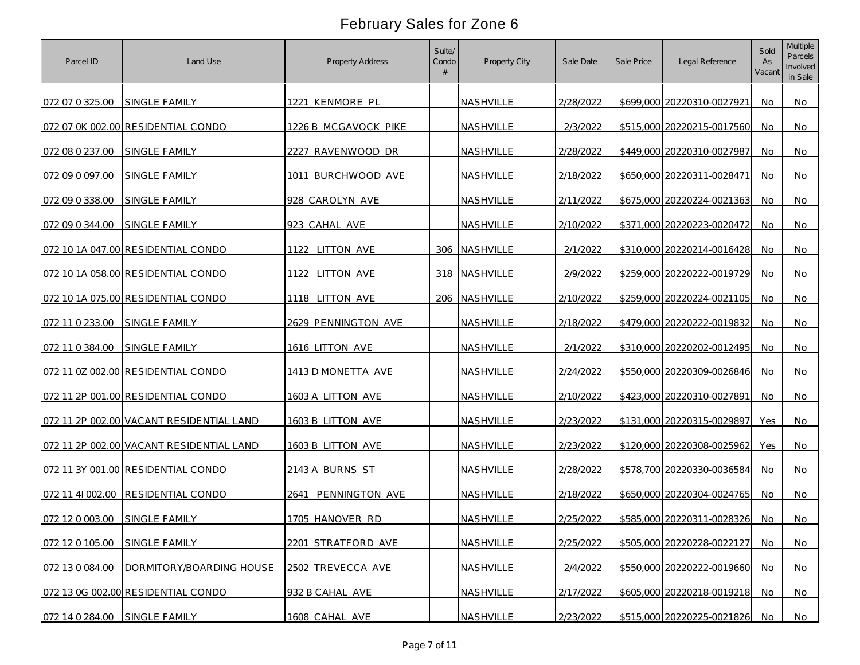| Parcel ID        | Land Use                                 | <b>Property Address</b> | Suite/<br>Condo | Property City | Sale Date | Sale Price | Legal Reference            | Sold<br>As<br>Vacant | <b>Multiple</b><br>Parcels<br>Involved<br>in Sale |
|------------------|------------------------------------------|-------------------------|-----------------|---------------|-----------|------------|----------------------------|----------------------|---------------------------------------------------|
| 072 07 0 325.00  | SINGLE FAMILY                            | 1221 KENMORE PL         |                 | NASHVILLE     | 2/28/2022 |            | \$699,000 20220310-0027921 | No.                  | No                                                |
|                  | 072 07 0K 002.00 RESIDENTIAL CONDO       | 1226 B MCGAVOCK PIKE    |                 | NASHVILLE     | 2/3/2022  |            | \$515,000 20220215-0017560 | No.                  | No                                                |
| 072 08 0 237.00  | SINGLE FAMILY                            | 2227 RAVENWOOD DR       |                 | NASHVILLE     | 2/28/2022 |            | \$449,000 20220310-0027987 | No                   | No                                                |
| 072 09 0 097.00  | SINGLE FAMILY                            | 1011 BURCHWOOD AVE      |                 | NASHVILLE     | 2/18/2022 |            | \$650,000 20220311-0028471 | No                   | No                                                |
| 072 09 0 338.00  | <b>SINGLE FAMILY</b>                     | 928 CAROLYN AVE         |                 | NASHVILLE     | 2/11/2022 |            | \$675,000 20220224-0021363 | No                   | No                                                |
| 072 09 0 344.00  | SINGLE FAMILY                            | 923 CAHAL AVE           |                 | NASHVILLE     | 2/10/2022 |            | \$371,000 20220223-0020472 | No                   | No                                                |
|                  | 072 10 1A 047.00 RESIDENTIAL CONDO       | 1122 LITTON AVE         |                 | 306 NASHVILLE | 2/1/2022  |            | \$310,000 20220214-0016428 | No                   | No                                                |
|                  | 072 10 1A 058.00 RESIDENTIAL CONDO       | 1122 LITTON AVE         |                 | 318 NASHVILLE | 2/9/2022  |            | \$259,000 20220222-0019729 | No                   | No                                                |
|                  | 072 10 1A 075.00 RESIDENTIAL CONDO       | 1118 LITTON AVE         |                 | 206 NASHVILLE | 2/10/2022 |            | \$259,000 20220224-0021105 | No                   | No                                                |
| 072 11 0 233.00  | SINGLE FAMILY                            | 2629 PENNINGTON AVE     |                 | NASHVILLE     | 2/18/2022 |            | \$479,000 20220222-0019832 | No.                  | No                                                |
| 072 11 0 384.00  | <b>SINGLE FAMILY</b>                     | 1616 LITTON AVE         |                 | NASHVILLE     | 2/1/2022  |            | \$310,000 20220202-0012495 | No                   | No                                                |
|                  | 072 11 0Z 002.00 RESIDENTIAL CONDO       | 1413 D MONETTA AVE      |                 | NASHVILLE     | 2/24/2022 |            | \$550,000 20220309-0026846 | No                   | No                                                |
|                  | 072 11 2P 001.00 RESIDENTIAL CONDO       | 1603 A LITTON AVE       |                 | NASHVILLE     | 2/10/2022 |            | \$423,000 20220310-0027891 | No                   | No                                                |
|                  | 072 11 2P 002.00 VACANT RESIDENTIAL LAND | 1603 B LITTON AVE       |                 | NASHVILLE     | 2/23/2022 |            | \$131,000 20220315-0029897 | Yes                  | No                                                |
|                  | 072 11 2P 002.00 VACANT RESIDENTIAL LAND | 1603 B LITTON AVE       |                 | NASHVILLE     | 2/23/2022 |            | \$120,000 20220308-0025962 | Yes                  | No                                                |
|                  | 072 11 3Y 001.00 RESIDENTIAL CONDO       | 2143 A BURNS ST         |                 | NASHVILLE     | 2/28/2022 |            | \$578,700 20220330-0036584 | No                   | No                                                |
| 072 11 41 002.00 | RESIDENTIAL CONDO                        | 2641 PENNINGTON AVE     |                 | NASHVILLE     | 2/18/2022 |            | \$650,000 20220304-0024765 | No                   | No                                                |
| 072 12 0 003.00  | SINGLE FAMILY                            | 1705 HANOVER RD         |                 | NASHVILLE     | 2/25/2022 |            | \$585,000 20220311-0028326 | No.                  | No                                                |
| 072 12 0 105.00  | <b>SINGLE FAMILY</b>                     | 2201 STRATFORD AVE      |                 | NASHVILLE     | 2/25/2022 |            | \$505,000 20220228-0022127 | No.                  | No                                                |
| 072 13 0 084.00  | DORMITORY/BOARDING HOUSE                 | 2502 TREVECCA AVE       |                 | NASHVILLE     | 2/4/2022  |            | \$550,000 20220222-0019660 | No                   | <b>No</b>                                         |
|                  | 072 13 0G 002.00 RESIDENTIAL CONDO       | 932 B CAHAL AVE         |                 | NASHVILLE     | 2/17/2022 |            | \$605,000 20220218-0019218 | No.                  | No                                                |
| 072 14 0 284.00  | SINGLE FAMILY                            | 1608 CAHAL AVE          |                 | NASHVILLE     | 2/23/2022 |            | \$515,000 20220225-0021826 | No.                  | No                                                |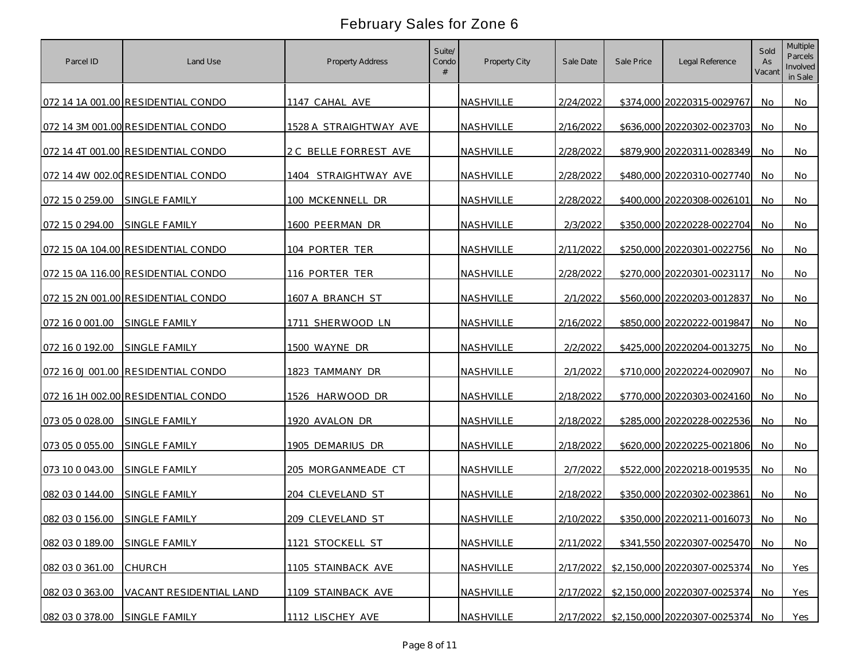| Parcel ID       | Land Use                           | <b>Property Address</b> | Suite/<br>Condo | Property City    | Sale Date | Sale Price | Legal Reference                        | Sold<br>As<br>Vacant | <b>Multiple</b><br>Parcels<br>Involved<br>in Sale |
|-----------------|------------------------------------|-------------------------|-----------------|------------------|-----------|------------|----------------------------------------|----------------------|---------------------------------------------------|
|                 | 072 14 1A 001.00 RESIDENTIAL CONDO | 1147 CAHAL AVE          |                 | NASHVILLE        | 2/24/2022 |            | \$374,000 20220315-0029767             | No.                  | No                                                |
|                 | 072 14 3M 001.00 RESIDENTIAL CONDO | 1528 A STRAIGHTWAY AVE  |                 | NASHVILLE        | 2/16/2022 |            | \$636,000 20220302-0023703             | No.                  | No                                                |
|                 | 072 14 4T 001.00 RESIDENTIAL CONDO | 2 C BELLE FORREST AVE   |                 | NASHVILLE        | 2/28/2022 |            | \$879,900 20220311-0028349             | No                   | No                                                |
|                 | 072 14 4W 002.00 RESIDENTIAL CONDO | 1404 STRAIGHTWAY AVE    |                 | NASHVILLE        | 2/28/2022 |            | \$480,000 20220310-0027740             | No                   | No                                                |
| 072 15 0 259.00 | <b>SINGLE FAMILY</b>               | 100 MCKENNELL DR        |                 | NASHVILLE        | 2/28/2022 |            | \$400,000 20220308-0026101             | No                   | No                                                |
| 072 15 0 294.00 | <b>SINGLE FAMILY</b>               | 1600 PEERMAN DR         |                 | NASHVILLE        | 2/3/2022  |            | \$350,000 20220228-0022704             | No.                  | No                                                |
|                 | 072 15 0A 104.00 RESIDENTIAL CONDO | 104 PORTER TER          |                 | NASHVILLE        | 2/11/2022 |            | \$250,000 20220301-0022756             | No                   | No                                                |
|                 | 072 15 0A 116.00 RESIDENTIAL CONDO | 116 PORTER TER          |                 | NASHVILLE        | 2/28/2022 |            | \$270,000 20220301-0023117             | No.                  | No                                                |
|                 | 072 15 2N 001.00 RESIDENTIAL CONDO | 1607 A BRANCH ST        |                 | NASHVILLE        | 2/1/2022  |            | \$560,000 20220203-0012837             | No                   | No                                                |
| 072 16 0 001 00 | SINGLE FAMILY                      | 1711 SHERWOOD LN        |                 | NASHVILLE        | 2/16/2022 |            | \$850,000 20220222-0019847             | No.                  | No                                                |
| 072 16 0 192.00 | <b>SINGLE FAMILY</b>               | 1500 WAYNE DR           |                 | <b>NASHVILLE</b> | 2/2/2022  |            | \$425,000 20220204-0013275             | <b>No</b>            | No                                                |
|                 | 072 16 0J 001.00 RESIDENTIAL CONDO | 1823 TAMMANY DR         |                 | <b>NASHVILLE</b> | 2/1/2022  |            | \$710,000 20220224-0020907             | No                   | No                                                |
|                 | 072 16 1H 002.00 RESIDENTIAL CONDO | 1526 HARWOOD DR         |                 | NASHVILLE        | 2/18/2022 |            | \$770,000 20220303-0024160             | <b>No</b>            | No                                                |
| 073 05 0 028.00 | SINGLE FAMILY                      | 1920 AVALON DR          |                 | NASHVILLE        | 2/18/2022 |            | \$285,000 20220228-0022536             | No                   | No                                                |
| 073 05 0 055.00 | SINGLE FAMILY                      | 1905 DEMARIUS DR        |                 | <b>NASHVILLE</b> | 2/18/2022 |            | \$620,000 20220225-0021806             | No                   | No                                                |
| 073 10 0 043.00 | SINGLE FAMILY                      | 205 MORGANMEADE CT      |                 | NASHVILLE        | 2/7/2022  |            | \$522,000 20220218-0019535             | No                   | No                                                |
| 082 03 0 144.00 | SINGLE FAMILY                      | 204 CLEVELAND ST        |                 | NASHVILLE        | 2/18/2022 |            | \$350,000 20220302-0023861             | No                   | No                                                |
| 082 03 0 156.00 | SINGLE FAMILY                      | 209 CLEVELAND ST        |                 | NASHVILLE        | 2/10/2022 |            | \$350,000 20220211-0016073             | No.                  | No                                                |
| 082 03 0 189.00 | SINGLE FAMILY                      | 1121 STOCKELL ST        |                 | NASHVILLE        | 2/11/2022 |            | \$341,550 20220307-0025470             | No.                  | No                                                |
| 082 03 0 361.00 | <b>CHURCH</b>                      | 1105 STAINBACK AVE      |                 | NASHVILLE        | 2/17/2022 |            | \$2,150,000 20220307-0025374           | No                   | Yes                                               |
| 082 03 0 363.00 | VACANT RESIDENTIAL LAND            | 1109 STAINBACK AVE      |                 | NASHVILLE        |           |            | 2/17/2022 \$2,150,000 20220307-0025374 | No.                  | Yes                                               |
| 082 03 0 378.00 | SINGLE FAMILY                      | 1112 LISCHEY AVE        |                 | NASHVILLE        |           |            | 2/17/2022 \$2,150,000 20220307-0025374 | No.                  | Yes                                               |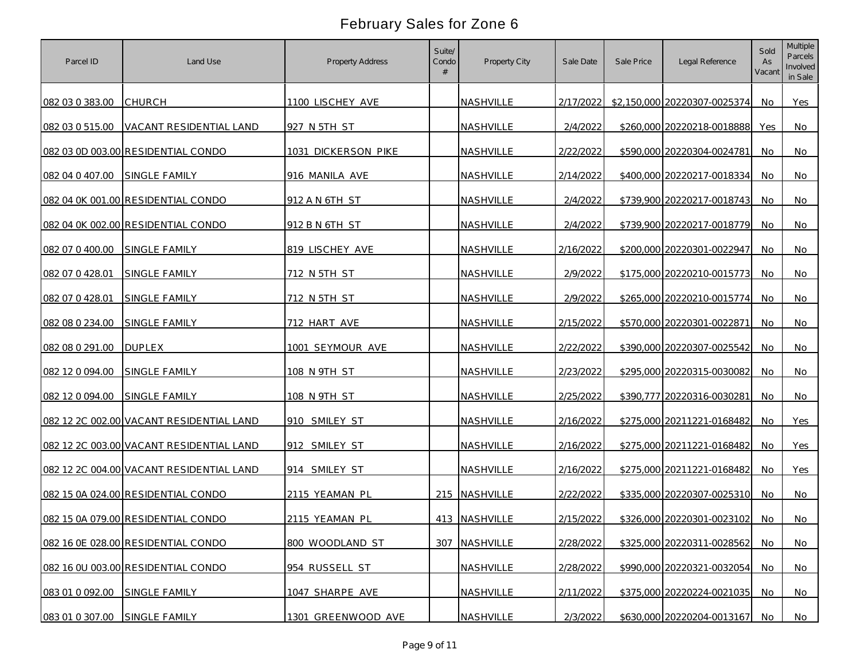| Parcel ID                     | Land Use                                 | Property Address    | Suite/<br>Condo | Property City | Sale Date | Sale Price | Legal Reference              | Sold<br>As<br>Vacant | <b>Multiple</b><br>Parcels<br>Involved<br>in Sale |
|-------------------------------|------------------------------------------|---------------------|-----------------|---------------|-----------|------------|------------------------------|----------------------|---------------------------------------------------|
| 082 03 0 383.00               | <b>CHURCH</b>                            | 1100 LISCHEY AVE    |                 | NASHVILLE     | 2/17/2022 |            | \$2,150,000 20220307-0025374 | No.                  | Yes                                               |
| 082 03 0 515.00               | VACANT RESIDENTIAL LAND                  | 927 N 5TH ST        |                 | NASHVILLE     | 2/4/2022  |            | \$260,000 20220218-0018888   | Yes                  | No                                                |
|                               | 082 03 0D 003.00 RESIDENTIAL CONDO       | 1031 DICKERSON PIKE |                 | NASHVILLE     | 2/22/2022 |            | \$590,000 20220304-0024781   | No                   | No                                                |
| 082 04 0 407.00               | SINGLE FAMILY                            | 916 MANILA AVE      |                 | NASHVILLE     | 2/14/2022 |            | \$400,000 20220217-0018334   | No                   | No                                                |
|                               | 082 04 0K 001.00 RESIDENTIAL CONDO       | 912 A N 6TH ST      |                 | NASHVILLE     | 2/4/2022  |            | \$739,900 20220217-0018743   | No                   | No                                                |
|                               | 082 04 0K 002.00 RESIDENTIAL CONDO       | 912 B N 6TH ST      |                 | NASHVILLE     | 2/4/2022  |            | \$739,900 20220217-0018779   | No.                  | No                                                |
| 082 07 0 400.00               | <b>SINGLE FAMILY</b>                     | 819 LISCHEY AVE     |                 | NASHVILLE     | 2/16/2022 |            | \$200,000 20220301-0022947   | No.                  | No                                                |
| 082 07 0 428.01               | SINGLE FAMILY                            | 712 N 5TH ST        |                 | NASHVILLE     | 2/9/2022  |            | \$175,000 20220210-0015773   | No.                  | No                                                |
| 082 07 0 428.01               | SINGLE FAMILY                            | 712 N 5TH ST        |                 | NASHVILLE     | 2/9/2022  |            | \$265,000 20220210-0015774   | No.                  | No                                                |
| 082 08 0 234.00               | <b>SINGLE FAMILY</b>                     | 712 HART AVE        |                 | NASHVILLE     | 2/15/2022 |            | \$570,000 20220301-0022871   | No.                  | No                                                |
| 082 08 0 291.00               | <b>DUPLEX</b>                            | 1001 SEYMOUR AVE    |                 | NASHVILLE     | 2/22/2022 |            | \$390,000 20220307-0025542   | No                   | No                                                |
| 082 12 0 094.00               | <b>SINGLE FAMILY</b>                     | 108 N 9TH ST        |                 | NASHVILLE     | 2/23/2022 |            | \$295,000 20220315-0030082   | No                   | No                                                |
| 082 12 0 094 00               | <b>SINGLE FAMILY</b>                     | 108 N 9TH ST        |                 | NASHVILLE     | 2/25/2022 |            | \$390,777 20220316-0030281   | No                   | No                                                |
|                               | 082 12 2C 002.00 VACANT RESIDENTIAL LAND | 910 SMILEY ST       |                 | NASHVILLE     | 2/16/2022 |            | \$275,000 20211221-0168482   | No                   | Yes                                               |
|                               | 082 12 2C 003.00 VACANT RESIDENTIAL LAND | 912 SMILEY ST       |                 | NASHVILLE     | 2/16/2022 |            | \$275,000 20211221-0168482   | No                   | Yes                                               |
|                               | 082 12 2C 004.00 VACANT RESIDENTIAL LAND | 914 SMILEY ST       |                 | NASHVILLE     | 2/16/2022 |            | \$275,000 20211221-0168482   | No                   | Yes                                               |
|                               | 082 15 0A 024.00 RESIDENTIAL CONDO       | 2115 YEAMAN PL      |                 | 215 NASHVILLE | 2/22/2022 |            | \$335,000 20220307-0025310   | No                   | No                                                |
|                               | 082 15 0A 079.00 RESIDENTIAL CONDO       | 2115 YEAMAN PL      |                 | 413 NASHVILLE | 2/15/2022 |            | \$326,000 20220301-0023102   | No                   | No                                                |
|                               | 082 16 0E 028.00 RESIDENTIAL CONDO       | 800 WOODLAND ST     |                 | 307 NASHVILLE | 2/28/2022 |            | \$325,000 20220311-0028562   | <b>No</b>            | No                                                |
|                               | 082 16 0U 003.00 RESIDENTIAL CONDO       | 954 RUSSELL ST      |                 | NASHVILLE     | 2/28/2022 |            | \$990,000 20220321-0032054   | No                   | <b>No</b>                                         |
| 083 01 0 092.00               | SINGLE FAMILY                            | 1047 SHARPE AVE     |                 | NASHVILLE     | 2/11/2022 |            | \$375,000 20220224-0021035   | No.                  | No                                                |
| 083 01 0 307.00 SINGLE FAMILY |                                          | 1301 GREENWOOD AVE  |                 | NASHVILLE     | 2/3/2022  |            | \$630,000 20220204-0013167   | No.                  | No                                                |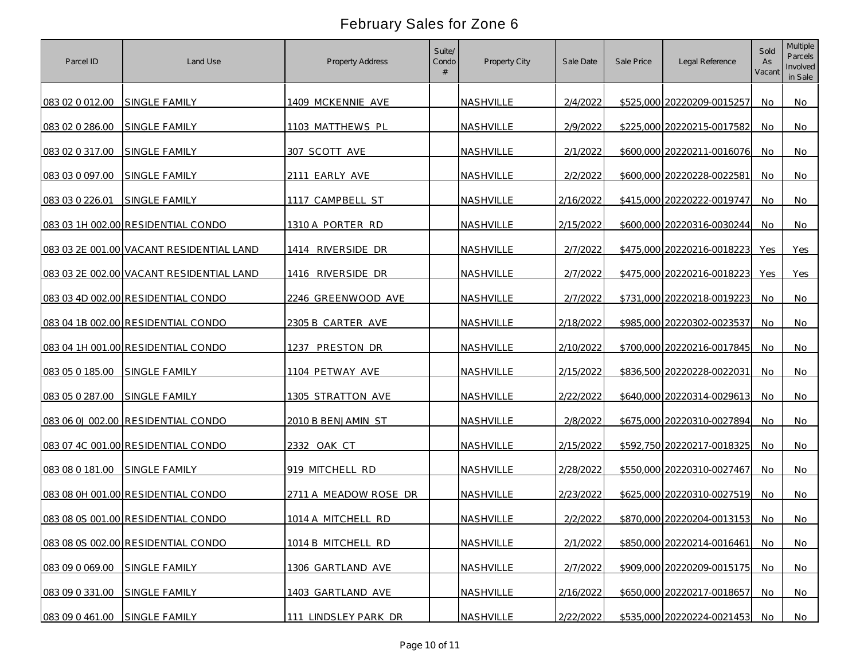| Parcel ID       | Land Use                                 | Property Address      | Suite/<br>Condo | Property City    | Sale Date | Sale Price | Legal Reference            | Sold<br>As<br>Vacant | <b>Multiple</b><br>Parcels<br>Involved<br>in Sale |
|-----------------|------------------------------------------|-----------------------|-----------------|------------------|-----------|------------|----------------------------|----------------------|---------------------------------------------------|
| 083 02 0 012.00 | SINGLE FAMILY                            | 1409 MCKENNIE AVE     |                 | <b>NASHVILLE</b> | 2/4/2022  |            | \$525,000 20220209-0015257 | No                   | No                                                |
| 083 02 0 286.00 | SINGLE FAMILY                            | 1103 MATTHEWS PL      |                 | NASHVILLE        | 2/9/2022  |            | \$225,000 20220215-0017582 | No                   | No                                                |
| 083 02 0 317.00 | SINGLE FAMILY                            | 307 SCOTT AVE         |                 | NASHVILLE        | 2/1/2022  |            | \$600,000 20220211-0016076 | No                   | No                                                |
| 083 03 0 097.00 | SINGLE FAMILY                            | 2111 EARLY AVE        |                 | NASHVILLE        | 2/2/2022  |            | \$600,000 20220228-0022581 | No                   | No                                                |
| 083 03 0 226.01 | SINGLE FAMILY                            | CAMPBELL ST<br>1117   |                 | NASHVILLE        | 2/16/2022 |            | \$415,000 20220222-0019747 | No                   | No                                                |
|                 | 083 03 1H 002.00 RESIDENTIAL CONDO       | 1310 A PORTER RD      |                 | NASHVILLE        | 2/15/2022 |            | \$600,000 20220316-0030244 | No.                  | No                                                |
|                 | 083 03 2E 001.00 VACANT RESIDENTIAL LAND | 1414 RIVERSIDE DR     |                 | NASHVILLE        | 2/7/2022  |            | \$475,000 20220216-0018223 | Yes                  | Yes                                               |
|                 | 083 03 2E 002.00 VACANT RESIDENTIAL LAND | 1416 RIVERSIDE DR     |                 | NASHVILLE        | 2/7/2022  |            | \$475,000 20220216-0018223 | Yes                  | Yes                                               |
|                 | 083 03 4D 002.00 RESIDENTIAL CONDO       | 2246 GREENWOOD AVE    |                 | NASHVILLE        | 2/7/2022  |            | \$731,000 20220218-0019223 | No                   | No                                                |
|                 | 083 04 1B 002.00 RESIDENTIAL CONDO       | 2305 B CARTER AVE     |                 | <b>NASHVILLE</b> | 2/18/2022 |            | \$985,000 20220302-0023537 | No                   | No                                                |
|                 | 083 04 1H 001.00 RESIDENTIAL CONDO       | 1237 PRESTON DR       |                 | NASHVILLE        | 2/10/2022 |            | \$700,000 20220216-0017845 | No                   | No                                                |
| 083 05 0 185.00 | SINGLE FAMILY                            | 1104 PETWAY AVE       |                 | NASHVILLE        | 2/15/2022 |            | \$836,500 20220228-0022031 | No                   | No.                                               |
| 083 05 0 287.00 | SINGLE FAMILY                            | 1305 STRATTON AVE     |                 | NASHVILLE        | 2/22/2022 |            | \$640,000 20220314-0029613 | No                   | No                                                |
|                 | 083 06 0J 002.00 RESIDENTIAL CONDO       | 2010 B BENJAMIN ST    |                 | NASHVILLE        | 2/8/2022  |            | \$675,000 20220310-0027894 | No                   | No                                                |
|                 | 083 07 4C 001.00 RESIDENTIAL CONDO       | 2332<br>OAK CT        |                 | NASHVILLE        | 2/15/2022 |            | \$592,750 20220217-0018325 | No                   | No                                                |
| 083 08 0 181.00 | <b>SINGLE FAMILY</b>                     | 919 MITCHELL RD       |                 | NASHVILLE        | 2/28/2022 |            | \$550,000 20220310-0027467 | No                   | No                                                |
|                 | 083 08 0H 001.00 RESIDENTIAL CONDO       | 2711 A MEADOW ROSE DR |                 | NASHVILLE        | 2/23/2022 |            | \$625,000 20220310-0027519 | No                   | No                                                |
|                 | 083 08 0S 001.00 RESIDENTIAL CONDO       | 1014 A MITCHELL RD    |                 | NASHVILLE        | 2/2/2022  |            | \$870,000 20220204-0013153 | No                   | No                                                |
|                 | 083 08 0S 002.00 RESIDENTIAL CONDO       | 1014 B MITCHELL RD    |                 | NASHVILLE        | 2/1/2022  |            | \$850,000 20220214-0016461 | <b>No</b>            | No                                                |
| 083 09 0 069.00 | SINGLE FAMILY                            | 1306 GARTLAND AVE     |                 | NASHVILLE        | 2/7/2022  |            | \$909,000 20220209-0015175 | No                   | No                                                |
| 083 09 0 331.00 | SINGLE FAMILY                            | 1403 GARTLAND AVE     |                 | NASHVILLE        | 2/16/2022 |            | \$650,000 20220217-0018657 | No.                  | No                                                |
| 083 09 0 461.00 | SINGLE FAMILY                            | 111 LINDSLEY PARK DR  |                 | NASHVILLE        | 2/22/2022 |            | \$535,000 20220224-0021453 | No.                  | No                                                |